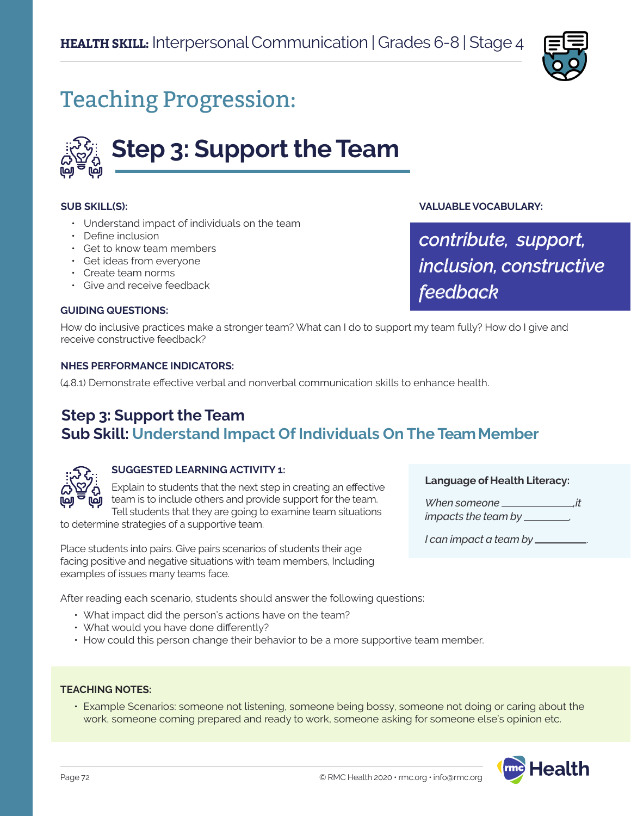

# Teaching Progression:



#### **SUB SKILL(S):**

- Understand impact of individuals on the team
- Define inclusion
- Get to know team members
- Get ideas from everyone
- Create team norms
- Give and receive feedback

#### **GUIDING QUESTIONS:**

How do inclusive practices make a stronger team? What can I do to support my team fully? How do I give and receive constructive feedback?

### **NHES PERFORMANCE INDICATORS:**

(4.8.1) Demonstrate effective verbal and nonverbal communication skills to enhance health.

# **Step 3: Support the Team Sub Skill: Understand Impact Of Individuals On The Team Member**



#### **SUGGESTED LEARNING ACTIVITY 1:**

Explain to students that the next step in creating an effective team is to include others and provide support for the team. Tell students that they are going to examine team situations

to determine strategies of a supportive team.

Place students into pairs. Give pairs scenarios of students their age facing positive and negative situations with team members, Including examples of issues many teams face.

After reading each scenario, students should answer the following questions:

- What impact did the person's actions have on the team?
- What would you have done differently?
- How could this person change their behavior to be a more supportive team member.

#### **TEACHING NOTES:**

• Example Scenarios: someone not listening, someone being bossy, someone not doing or caring about the work, someone coming prepared and ready to work, someone asking for someone else's opinion etc.

*feedback*

*contribute, support,* 

*inclusion, constructive* 

**VALUABLE VOCABULARY:**



*When someone ,it impacts the team by .* 

*I can impact a team by* .

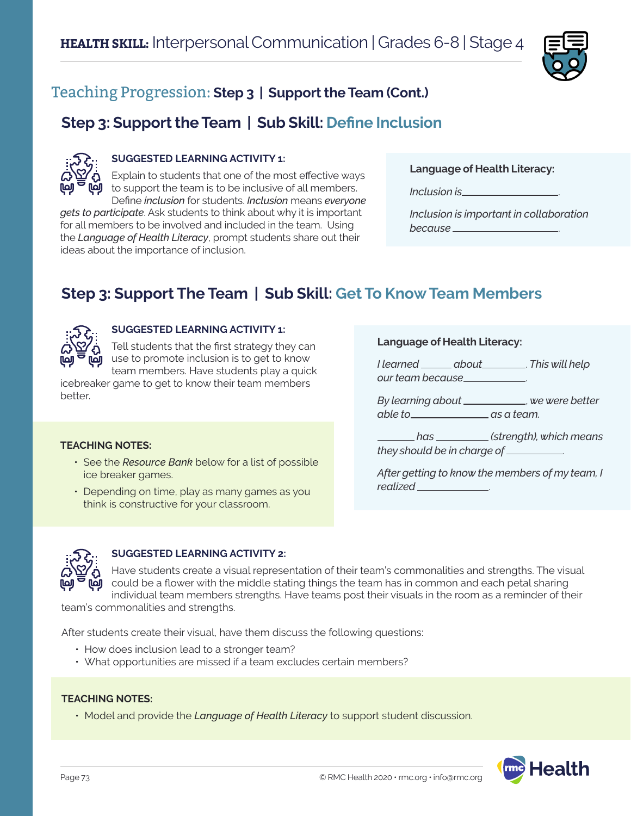

# **Step 3: Support the Team | Sub Skill: Define Inclusion**



### **SUGGESTED LEARNING ACTIVITY 1:**

Explain to students that one of the most effective ways to support the team is to be inclusive of all members.

Define *inclusion* for students. *Inclusion* means *everyone gets to participate*. Ask students to think about why it is important for all members to be involved and included in the team. Using the *Language of Health Literacy*, prompt students share out their ideas about the importance of inclusion.

*Inclusion is* .

*Inclusion is important in collaboration because* .

# **Step 3: Support The Team | Sub Skill: Get To Know Team Members**



### **SUGGESTED LEARNING ACTIVITY 1:**

Tell students that the first strategy they can use to promote inclusion is to get to know team members. Have students play a quick

icebreaker game to get to know their team members better.

#### **TEACHING NOTES:**

- See the *Resource Bank* below for a list of possible ice breaker games.
- Depending on time, play as many games as you think is constructive for your classroom.

#### **Language of Health Literacy:**

*I learned about* . *This will help our team because* .

*By learning about* , *we were better able to as a team.* 

 *has (strength), which means they should be in charge of* .

*After getting to know the members of my team, I realized* .



### **SUGGESTED LEARNING ACTIVITY 2:**

Have students create a visual representation of their team's commonalities and strengths. The visual could be a flower with the middle stating things the team has in common and each petal sharing individual team members strengths. Have teams post their visuals in the room as a reminder of their

team's commonalities and strengths.

After students create their visual, have them discuss the following questions:

- How does inclusion lead to a stronger team?
- What opportunities are missed if a team excludes certain members?

#### **TEACHING NOTES:**

• Model and provide the *Language of Health Literacy* to support student discussion.

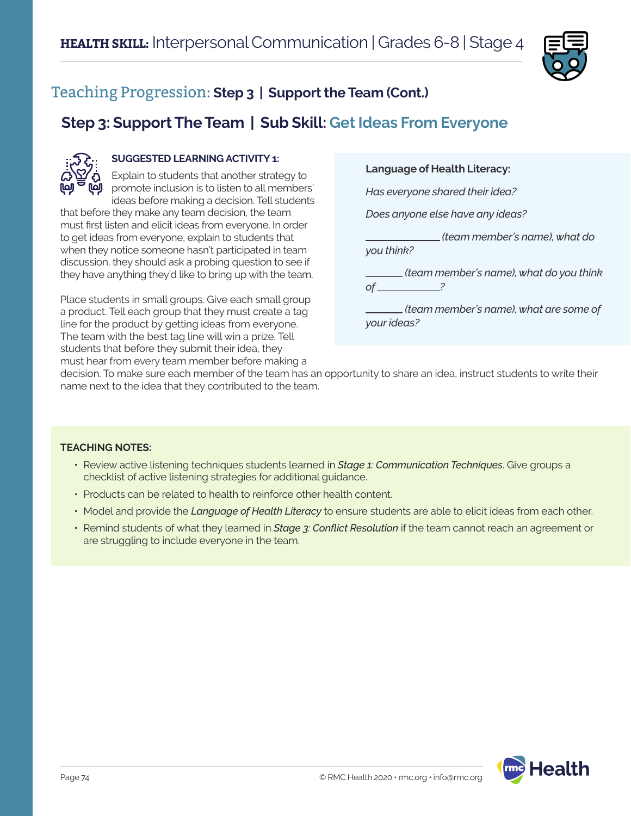

# **Step 3: Support The Team | Sub Skill: Get Ideas From Everyone**



### **SUGGESTED LEARNING ACTIVITY 1:**

Explain to students that another strategy to promote inclusion is to listen to all members' ideas before making a decision. Tell students

that before they make any team decision, the team must first listen and elicit ideas from everyone. In order to get ideas from everyone, explain to students that when they notice someone hasn't participated in team discussion, they should ask a probing question to see if they have anything they'd like to bring up with the team.

Place students in small groups. Give each small group a product. Tell each group that they must create a tag line for the product by getting ideas from everyone. The team with the best tag line will win a prize. Tell students that before they submit their idea, they must hear from every team member before making a

### **Language of Health Literacy:**

*Has everyone shared their idea?*

*Does anyone else have any ideas?*

 *(team member's name), what do you think?*

 *(team member's name), what do you think of ?*

 *(team member's name), what are some of your ideas?*

decision. To make sure each member of the team has an opportunity to share an idea, instruct students to write their name next to the idea that they contributed to the team.

#### **TEACHING NOTES:**

- Review active listening techniques students learned in *Stage 1: Communication Techniques*. Give groups a checklist of active listening strategies for additional guidance.
- Products can be related to health to reinforce other health content.
- Model and provide the *Language of Health Literacy* to ensure students are able to elicit ideas from each other.
- Remind students of what they learned in *Stage 3: Conflict Resolution* if the team cannot reach an agreement or are struggling to include everyone in the team.

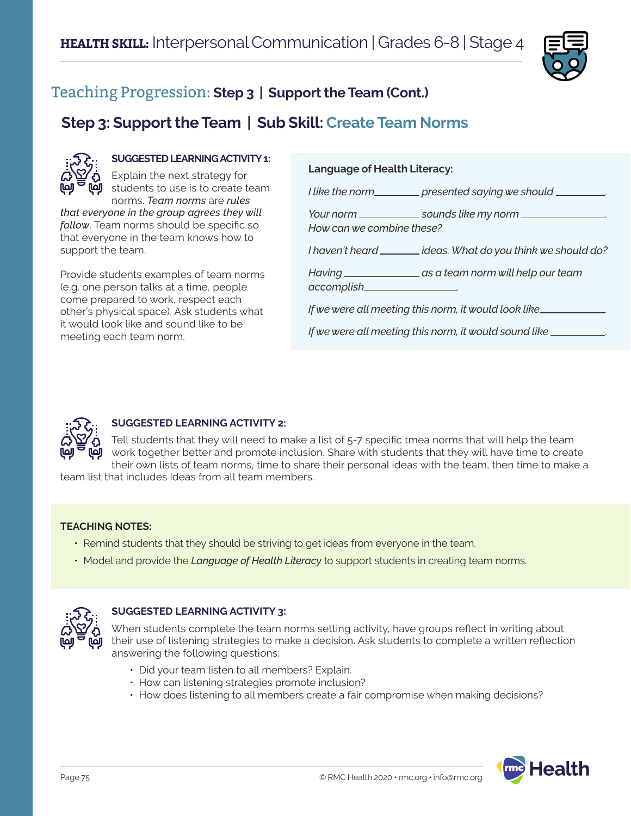

# **Step 3: Support the Team | Sub Skill: Create Team Norms**



### **SUGGESTED LEARNING ACTIVITY 1:**

Explain the next strategy for students to use is to create team norms. *Team norms* are *rules* 

*that everyone in the group agrees they will follow*. Team norms should be specific so that everyone in the team knows how to support the team.

Provide students examples of team norms (e.g. one person talks at a time, people come prepared to work, respect each other's physical space). Ask students what it would look like and sound like to be meeting each team norm.

### **Language of Health Literacy:**

*I like the norm presented saying we should* .

*Your norm* \_\_\_\_\_\_\_\_\_\_\_\_\_\_ sounds like my norm \_\_\_\_\_\_\_\_\_\_ *How can we combine these?*

*I haven't heard* \_\_\_\_\_\_\_ ideas. What do you think we should do?

*Having as a team norm will help our team accomplish* .

*If we were all meeting this norm, it would look like* .

*If we were all meeting this norm, it would sound like* .



### **SUGGESTED LEARNING ACTIVITY 2:**

Tell students that they will need to make a list of 5-7 specific tmea norms that will help the team work together better and promote inclusion. Share with students that they will have time to create their own lists of team norms, time to share their personal ideas with the team, then time to make a

team list that includes ideas from all team members.

#### **TEACHING NOTES:**

- Remind students that they should be striving to get ideas from everyone in the team.
- Model and provide the *Language of Health Literacy* to support students in creating team norms.



### **SUGGESTED LEARNING ACTIVITY 3:**

When students complete the team norms setting activity, have groups reflect in writing about their use of listening strategies to make a decision. Ask students to complete a written reflection answering the following questions:

- Did your team listen to all members? Explain.
- How can listening strategies promote inclusion?
- How does listening to all members create a fair compromise when making decisions?